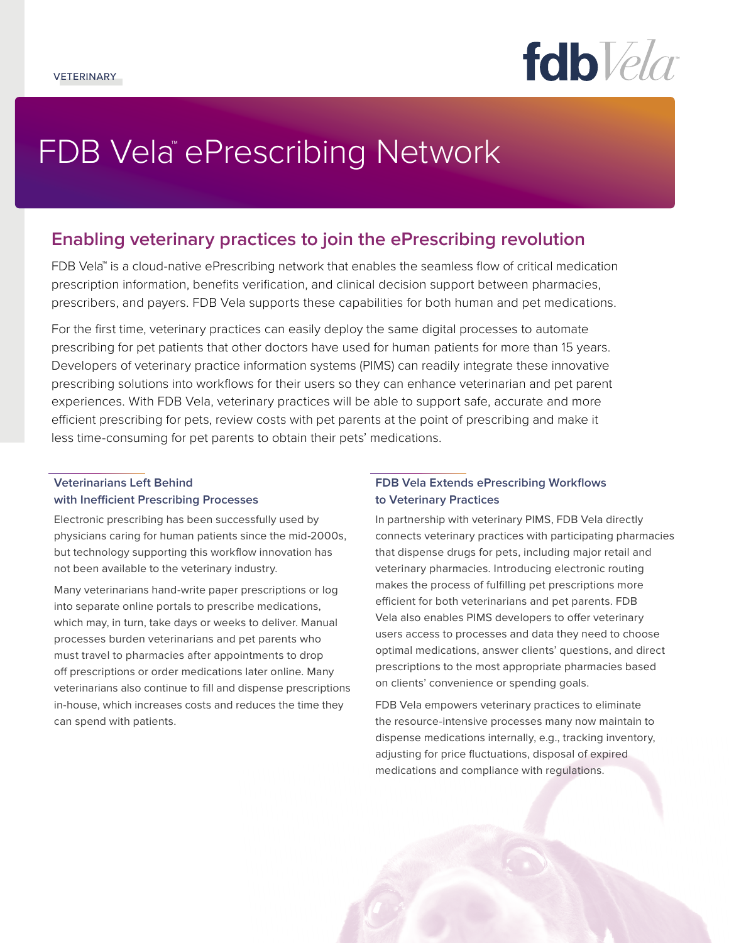fdb*Vela* 

# FDB Vela™ePrescribing Network

# **Enabling veterinary practices to join the ePrescribing revolution**

FDB Vela™ is a cloud-native ePrescribing network that enables the seamless flow of critical medication prescription information, benefits verification, and clinical decision support between pharmacies, prescribers, and payers. FDB Vela supports these capabilities for both human and pet medications.

For the first time, veterinary practices can easily deploy the same digital processes to automate prescribing for pet patients that other doctors have used for human patients for more than 15 years. Developers of veterinary practice information systems (PIMS) can readily integrate these innovative prescribing solutions into workflows for their users so they can enhance veterinarian and pet parent experiences. With FDB Vela, veterinary practices will be able to support safe, accurate and more efficient prescribing for pets, review costs with pet parents at the point of prescribing and make it less time-consuming for pet parents to obtain their pets' medications.

# **Veterinarians Left Behind with Inefficient Prescribing Processes**

Electronic prescribing has been successfully used by physicians caring for human patients since the mid-2000s, but technology supporting this workflow innovation has not been available to the veterinary industry.

Many veterinarians hand-write paper prescriptions or log into separate online portals to prescribe medications, which may, in turn, take days or weeks to deliver. Manual processes burden veterinarians and pet parents who must travel to pharmacies after appointments to drop off prescriptions or order medications later online. Many veterinarians also continue to fill and dispense prescriptions in-house, which increases costs and reduces the time they can spend with patients.

## **FDB Vela Extends ePrescribing Workflows to Veterinary Practices**

In partnership with veterinary PIMS, FDB Vela directly connects veterinary practices with participating pharmacies that dispense drugs for pets, including major retail and veterinary pharmacies. Introducing electronic routing makes the process of fulfilling pet prescriptions more efficient for both veterinarians and pet parents. FDB Vela also enables PIMS developers to offer veterinary users access to processes and data they need to choose optimal medications, answer clients' questions, and direct prescriptions to the most appropriate pharmacies based on clients' convenience or spending goals.

FDB Vela empowers veterinary practices to eliminate the resource-intensive processes many now maintain to dispense medications internally, e.g., tracking inventory, adjusting for price fluctuations, disposal of expired medications and compliance with regulations.